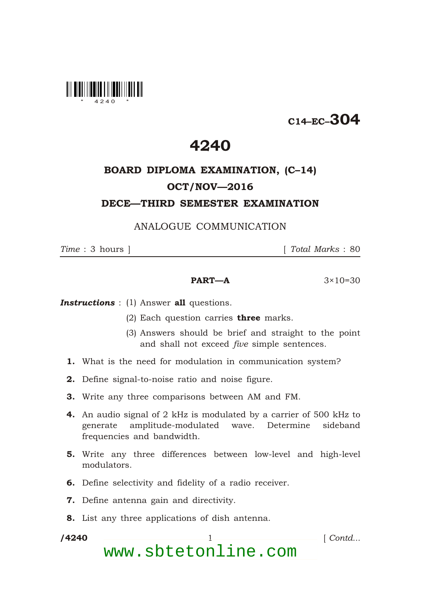

## C14–EC–304

### 4240

## BOARD DIPLOMA EXAMINATION, (C–14) OCT/NOV—2016

#### DECE—THIRD SEMESTER EXAMINATION

#### ANALOGUE COMMUNICATION

*Time* : 3 hours ] [ *Total Marks* : 80

#### **PART—A**  $3 \times 10 = 30$

**Instructions** : (1) Answer all questions.

- (2) Each question carries **three** marks.
- (3) Answers should be brief and straight to the point and shall not exceed *five* simple sentences.
- 1. What is the need for modulation in communication system?
- 2. Define signal-to-noise ratio and noise figure.
- 3. Write any three comparisons between AM and FM.
- 4. An audio signal of 2 kHz is modulated by a carrier of 500 kHz to generate amplitude-modulated wave. Determine sideband frequencies and bandwidth.
- 5. Write any three differences between low-level and high-level modulators.
- 6. Define selectivity and fidelity of a radio receiver.
- 7. Define antenna gain and directivity.
- 8. List any three applications of dish antenna.

/4240

\*

/4240 1 [ *Contd...* www.sbtetonline.com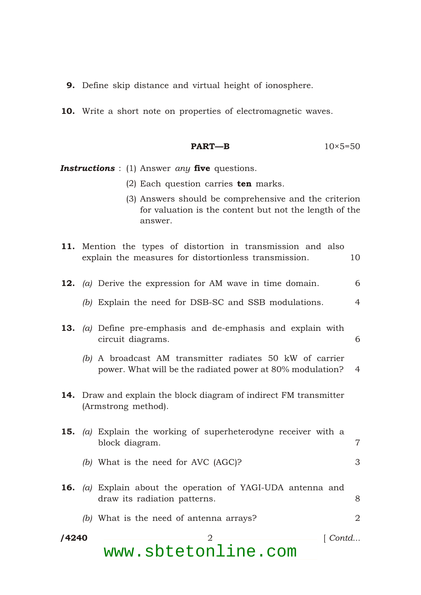- **9.** Define skip distance and virtual height of ionosphere.
- 10. Write a short note on properties of electromagnetic waves.

$$
PART-B \t\t 10 \times 5=50
$$

*Instructions* : (1) Answer *any* five questions.

\*

- (2) Each question carries ten marks.
- (3) Answers should be comprehensive and the criterion for valuation is the content but not the length of the answer.

|       |                                                                                          | 11. Mention the types of distortion in transmission and also<br>explain the measures for distortionless transmission. | 10             |
|-------|------------------------------------------------------------------------------------------|-----------------------------------------------------------------------------------------------------------------------|----------------|
|       |                                                                                          | <b>12.</b> (a) Derive the expression for AM wave in time domain.                                                      | 6              |
|       |                                                                                          | (b) Explain the need for DSB-SC and SSB modulations.                                                                  | $\overline{4}$ |
|       |                                                                                          | <b>13.</b> (a) Define pre-emphasis and de-emphasis and explain with<br>circuit diagrams.                              | 6              |
|       |                                                                                          | (b) A broadcast AM transmitter radiates 50 kW of carrier<br>power. What will be the radiated power at 80% modulation? | $\overline{4}$ |
|       | 14. Draw and explain the block diagram of indirect FM transmitter<br>(Armstrong method). |                                                                                                                       |                |
|       |                                                                                          | <b>15.</b> (a) Explain the working of superheterodyne receiver with a<br>block diagram.                               | $\overline{7}$ |
|       |                                                                                          | (b) What is the need for AVC (AGC)?                                                                                   | 3              |
|       |                                                                                          | <b>16.</b> (a) Explain about the operation of YAGI-UDA antenna and<br>draw its radiation patterns.                    | 8              |
|       |                                                                                          | (b) What is the need of antenna arrays?                                                                               | $\overline{2}$ |
| /4240 |                                                                                          | $\lceil$ Contd<br>$\overline{2}$<br>www.sbtetonline.com                                                               |                |